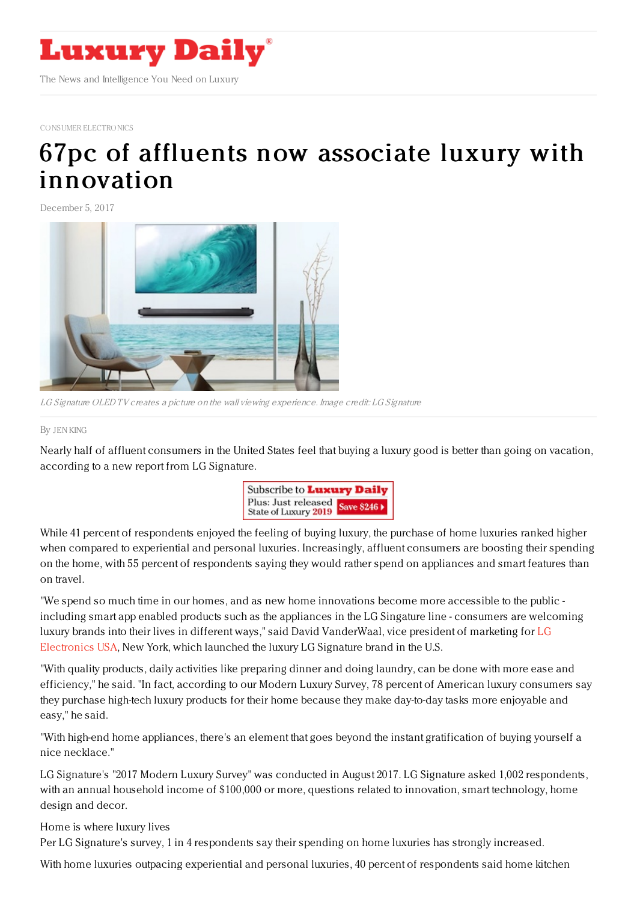

CONSUMER [ELECTRONICS](https://www.luxurydaily.com/category/sectors/consumer-electronics/)

## 67pc of affluents now associate luxury with [innovation](https://www.luxurydaily.com/67pc-of-affluents-now-associate-luxury-with-innovation/)

December 5, 2017



LG Signature OLED TV creates <sup>a</sup> picture on the wall viewing experience. Image credit: LG Signature

## By JEN [KING](file:///author/jen-king)

Nearly half of affluent consumers in the United States feel that buying a luxury good is better than going on vacation, according to a new report from LG Signature.



While 41 percent of respondents enjoyed the feeling of buying luxury, the purchase of home luxuries ranked higher when compared to experiential and personal luxuries. Increasingly, affluent consumers are boosting their spending on the home, with 55 percent of respondents saying they would rather spend on appliances and smart features than on travel.

"We spend so much time in our homes, and as new home innovations become more accessible to the public including smart app enabled products such as the appliances in the LG Singature line - consumers are welcoming luxury brands into their lives in different ways," said David [VanderWaal,](http://www.lg.com) vice president of marketing for LG Electronics USA, New York, which launched the luxury LG Signature brand in the U.S.

"With quality products, daily activities like preparing dinner and doing laundry, can be done with more ease and efficiency," he said. "In fact, according to our Modern Luxury Survey, 78 percent of American luxury consumers say they purchase high-tech luxury products for their home because they make day-to-day tasks more enjoyable and easy," he said.

"With high-end home appliances, there's an element that goes beyond the instant gratification of buying yourself a nice necklace."

LG Signature's "2017 Modern Luxury Survey" was conducted in August 2017. LG Signature asked 1,002 respondents, with an annual household income of \$100,000 or more, questions related to innovation, smart technology, home design and decor.

Home is where luxury lives

Per LG Signature's survey, 1 in 4 respondents say their spending on home luxuries has strongly increased.

With home luxuries outpacing experiential and personal luxuries, 40 percent of respondents said home kitchen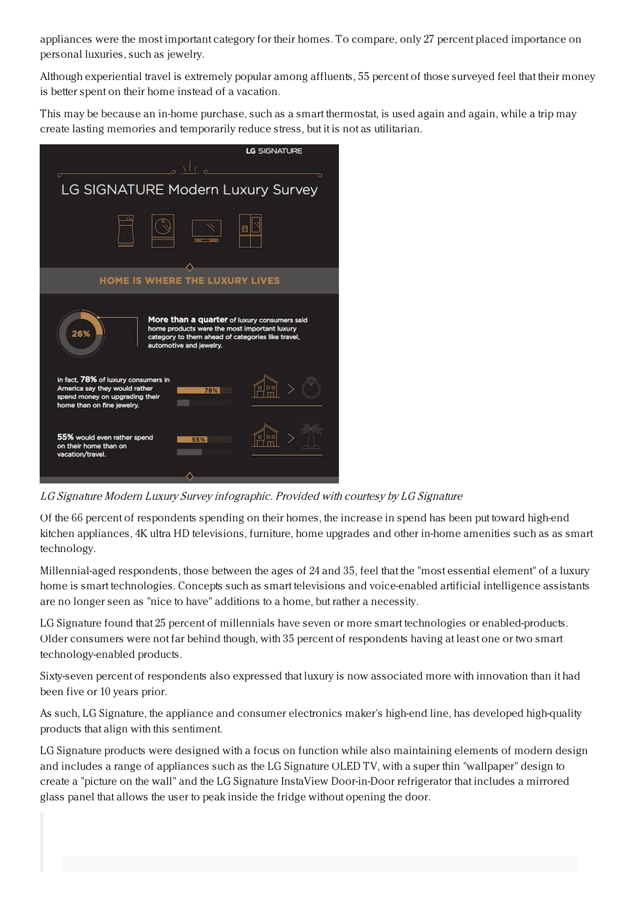appliances were the most important category for their homes. To compare, only 27 percent placed importance on personal luxuries, such as jewelry.

Although experiential travel is extremely popular among affluents, 55 percent of those surveyed feel that their money is better spent on their home instead of a vacation.

This may be because an in-home purchase, such as a smart thermostat, is used again and again, while a trip may create lasting memories and temporarily reduce stress, but it is not as utilitarian.



LG Signature Modern Luxury Survey infographic. Provided with courtesy by LG Signature

Of the 66 percent of respondents spending on their homes, the increase in spend has been put toward high-end kitchen appliances, 4K ultra HD televisions, furniture, home upgrades and other in-home amenities such as as smart technology.

Millennial-aged respondents, those between the ages of 24 and 35, feel that the "most essential element" of a luxury home is smart technologies. Concepts such as smart televisions and voice-enabled artificial intelligence assistants are no longer seen as "nice to have" additions to a home, but rather a necessity.

LG Signature found that 25 percent of millennials have seven or more smart technologies or enabled-products. Older consumers were not far behind though, with 35 percent of respondents having at least one or two smart technology-enabled products.

Sixty-seven percent of respondents also expressed that luxury is now associated more with innovation than it had been five or 10 years prior.

As such, LG Signature, the appliance and consumer electronics maker's high-end line, has developed high-quality products that align with this sentiment.

LG Signature products were designed with a focus on function while also maintaining elements of modern design and includes a range of appliances such as the LG Signature OLED TV, with a super thin "wallpaper" design to create a "picture on the wall" and the LG Signature InstaView Door-in-Door refrigerator that includes a mirrored glass panel that allows the user to peak inside the fridge without opening the door.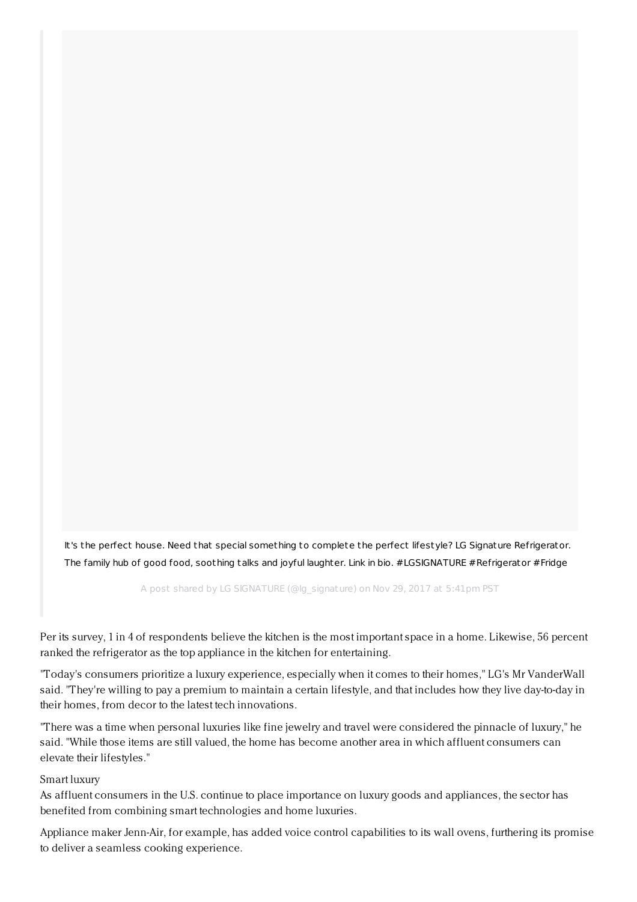It's the perfect house. Need that special something to complete the perfect lifestyle? LG Signature Refrigerator. The family hub of good food, soothing talks and joyful laughter. Link in bio. [#LGSIGNATURE](https://www.instagram.com/p/BcGe9wnlMjG/) #Refrigerator #Fridge

A post shared by LG SIGNATURE (@lg\_signature) on Nov 29, 2017 at 5:41pm PST

Per its survey, 1 in 4 of respondents believe the kitchen is the most important space in a home. Likewise, 56 percent ranked the refrigerator as the top appliance in the kitchen for entertaining.

"Today's consumers prioritize a luxury experience, especially when it comes to their homes," LG's Mr VanderWall said. "They're willing to pay a premium to maintain a certain lifestyle, and that includes how they live day-to-day in their homes, from decor to the latest tech innovations.

"There was a time when personal luxuries like fine jewelry and travel were considered the pinnacle of luxury," he said. "While those items are still valued, the home has become another area in which affluent consumers can elevate their lifestyles."

## Smart luxury

As affluent consumers in the U.S. continue to place importance on luxury goods and appliances, the sector has benefited from combining smart technologies and home luxuries.

Appliance maker Jenn-Air, for example, has added voice control capabilities to its wall ovens, furthering its promise to deliver a seamless cooking experience.